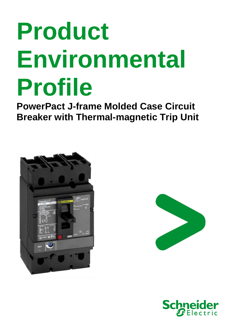# **Product Environmental Profile**

**PowerPact J-frame Molded Case Circuit Breaker with Thermal-magnetic Trip Unit** 





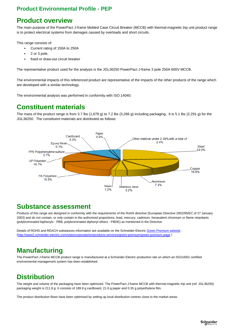#### **Product overview**

The main purpose of the PowerPact J-frame Molded Case Circuit Breaker (MCCB) with thermal-magnetic trip unit product range is to protect electrical systems from damages caused by overloads and short circuits.

This range consists of:

- Current rating of 150A to 250A
- 2 or 3 pole,
- fixed or draw-out circuit breaker

The representative product used for the analysis is the JGL36250 PowerPact J-frame 3 pole 250A 600V MCCB.

The environmental impacts of this referenced product are representative of the impacts of the other products of the range which are developed with a similar technology.

The environmental analysis was performed in conformity with ISO 14040.

### **Constituent materials**

The mass of the product range is from 3.7 lbs (1,678 g) to 7.2 lbs (3,266 g) including packaging. It is 5.1 lbs (2,291 g) for the JGL36250. The constituent materials are distributed as follows:



#### **Substance assessment**

Products of this range are designed in conformity with the requirements of the RoHS directive (European Directive 2002/95/EC of 27 January 2003) and do not contain, or only contain in the authorised proportions, lead, mercury, cadmium, hexavalent chromium or flame retardants (polybrominated biphenyls - PBB, polybrominated diphenyl ethers - PBDE) as mentioned in the Directive

Details of ROHS and REACH substances information are available on the Schneider-Electric Green Premium website. (http://www2.schneider-electric.com/sites/corporate/en/products-services/green-premium/green-premium.page )

# **Manufacturing**

The PowerPact J-frame MCCB product range is manufactured at a Schneider Electric production site on which an ISO14001 certified environmental management system has been established.

# **Distribution**

The weight and volume of the packaging have been optimized. The PowerPact J-frame MCCB with thermal-magnetic trip unit (ref. JGL36250) packaging weight is 211.8 g. It consists of 189.9 g cardboard, 21.6 g paper and 0.35 g polyethylene film.

The product distribution flows have been optimised by setting up local distribution centres close to the market areas.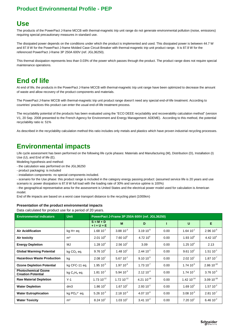#### **Use**

The products of the PowerPact J-frame MCCB with thermal-magnetic trip unit range do not generate environmental pollution (noise, emissions) requiring special precautionary measures in standard use.

The dissipated power depends on the conditions under which the product is implemented and used. This dissipated power is between 44.7 W and 87.8 W for the PowerPact J-frame Molded Case Circuit Breaker with thermal-magnetic trip unit product range. It is 87.8 W for the referenced PowerPact J-frame 3P 250A 600V (ref. JGL36250).

This thermal dissipation represents less than 0.03% of the power which passes through the product. The product range does not require special maintenance operations.

# **End of life**

At end of life, the products in the PowerPact J-frame MCCB with thermal-magnetic trip unit range have been optimized to decrease the amount of waste and allow recovery of the product components and materials.

The PowerPact J-frame MCCB with thermal-magnetic trip unit product range doesn't need any special end-of-life treatment. According to countries' practices this product can enter the usual end-of-life treatment process.

The recyclability potential of the products has been evaluated using the "ECO DEEE recyclability and recoverability calculation method" (version V1, 20 Sep. 2008 presented to the French Agency for Environment and Energy Management: ADEME). According to this method, the potential recyclability ratio is: 51%

As described in the recyclability calculation method this ratio includes only metals and plastics which have proven industrial recycling processes.

# **Environmental impacts**

Life cycle assessment has been performed on the following life cycle phases: Materials and Manufacturing (M), Distribution (D), Installation (I) Use (U), and End of life (E).

Modeling hypothesis and method:

- the calculation was performed on the JGL36250
- product packaging: is included
- installation components: no special components included.

- scenario for the Use phase: this product range is included in the category energy passing product: (assumed service life is 20 years and use scenario is: power dissipation is 87.8 W full load with the loading rate of 30% and service uptime is 100%)

- the geographical representative area for the assessment is United States and the electrical power model used for calculation is American model.

End of life impacts are based on a worst case transport distance to the recycling plant (1000km)

#### **Presentation of the product environmental impacts**

Data calculated for product use for a period of 20 years.

| <b>Environmental indicators</b>                         | <b>Unit</b>        | PowerPact J-Frame 3P 250A 600V (ref. JGL36250) |                        |                      |      |                      |                 |
|---------------------------------------------------------|--------------------|------------------------------------------------|------------------------|----------------------|------|----------------------|-----------------|
|                                                         |                    | $S = M + D$<br>$+1+U+E$                        | M                      | D                    |      | U                    | E.              |
| <b>Air Acidification</b>                                | kg H+ eq           | $1.68 10^{-1}$                                 | $3.8810^{3}$           | $3.1910^{5}$         | 0.00 | $1.64~10^{-1}$       | $2.96 10^{-5}$  |
| Air toxicity                                            | m <sup>3</sup>     | $2.0110^8$                                     | $7.6010^6$             | 4.72~10 <sup>4</sup> | 0.00 | $1.9310^{8}$         | 4.42 $10^4$     |
| <b>Energy Depletion</b>                                 | MJ                 | $1.28110^{4}$                                  | 2.56 $10^2$            | 3.09                 | 0.00 | $1.25110^{4}$        | 2.13            |
| <b>Global Warming Potential</b>                         | $kg CO2$ eq.       | $9.7610^{2}$                                   | 1.48110 <sup>1</sup>   | $2.4410^{-1}$        | 0.00 | $9.6110^{2}$         | $1.5110^{-1}$   |
| <b>Hazardous Waste Production</b>                       | kg                 | 2.0810 <sup>1</sup>                            | $5.6710^{-1}$          | $9.10 10^{-5}$       | 0.00 | 2.0210 <sup>1</sup>  | $1.87 10^{-7}$  |
| <b>Ozone Depletion Potential</b>                        | kg CFC-11 eq.      | $1.9510^{-5}$                                  | $1.9710^{-6}$          | $1.7310^{7}$         | 0.00 | $1.74~10^{-5}$       | $2.86 10^{-10}$ |
| <b>Photochemical Ozone</b><br><b>Creation Potential</b> | kg $C_2H_4$ eq.    | $1.81 10^{-1}$                                 | $5.94 10^{-3}$         | $2.12 10^{-4}$       | 0.00 | $1.74~10^{-1}$       | $3.76 10^{-5}$  |
| <b>Raw Material Depletion</b>                           | $Y-1$              | $1.73 10^{-12}$                                | $1.72 10^{-12}$        | 4.21 $10^{-18}$      | 0.00 | 1.42 $10^{-14}$      | $3.09 10^{-18}$ |
| <b>Water Depletion</b>                                  | dm3                | $1.86 10^3$                                    | 1.67 $10^2$            | $2.9310^{-1}$        | 0.00 | 1.69 $10^3$          | $1.57 10^{-2}$  |
| <b>Water Eutrophication</b>                             | kg $PO_4^{3-}$ eq. | $5.26 10^{-3}$                                 | $2.1810^{3}$           | $4.0710^{-6}$        | 0.00 | $3.0810^{3}$         | $2.8110^{-7}$   |
| <b>Water Toxicity</b>                                   | m <sup>3</sup>     | $8.2410$ <sup>1</sup>                          | $1.03110$ <sup>1</sup> | $3.4110^{2}$         | 0.00 | 7.20 10 <sup>1</sup> | $6.4610^{2}$    |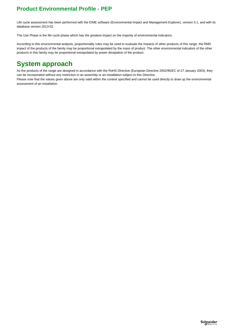Life cycle assessment has been performed with the EIME software (Environmental Impact and Management Explorer), version 5.1, and with its database version 2013-02.

The Use Phase is the life cycle phase which has the greatest impact on the majority of environmental indicators.

According to this environmental analysis, proportionality rules may be used to evaluate the impacts of other products of this range: the RMD impact of the products of the family may be proportional extrapolated by the mass of product. The other environmental indicators of the other products in this family may be proportional extrapolated by power dissipation of the product.

# **System approach**

As the products of the range are designed in accordance with the RoHS Directive (European Directive 2002/95/EC of 27 January 2003), they can be incorporated without any restriction in an assembly or an installation subject to this Directive.

Please note that the values given above are only valid within the context specified and cannot be used directly to draw up the environmental assessment of an installation.